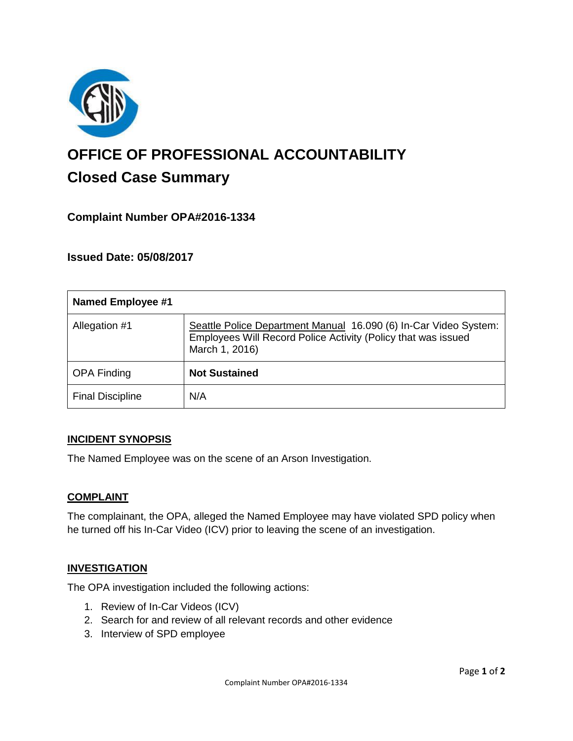

# **OFFICE OF PROFESSIONAL ACCOUNTABILITY Closed Case Summary**

## **Complaint Number OPA#2016-1334**

**Issued Date: 05/08/2017**

| <b>Named Employee #1</b> |                                                                                                                                                     |
|--------------------------|-----------------------------------------------------------------------------------------------------------------------------------------------------|
| Allegation #1            | Seattle Police Department Manual 16.090 (6) In-Car Video System:<br>Employees Will Record Police Activity (Policy that was issued<br>March 1, 2016) |
| <b>OPA Finding</b>       | <b>Not Sustained</b>                                                                                                                                |
| <b>Final Discipline</b>  | N/A                                                                                                                                                 |

#### **INCIDENT SYNOPSIS**

The Named Employee was on the scene of an Arson Investigation.

#### **COMPLAINT**

The complainant, the OPA, alleged the Named Employee may have violated SPD policy when he turned off his In-Car Video (ICV) prior to leaving the scene of an investigation.

#### **INVESTIGATION**

The OPA investigation included the following actions:

- 1. Review of In-Car Videos (ICV)
- 2. Search for and review of all relevant records and other evidence
- 3. Interview of SPD employee